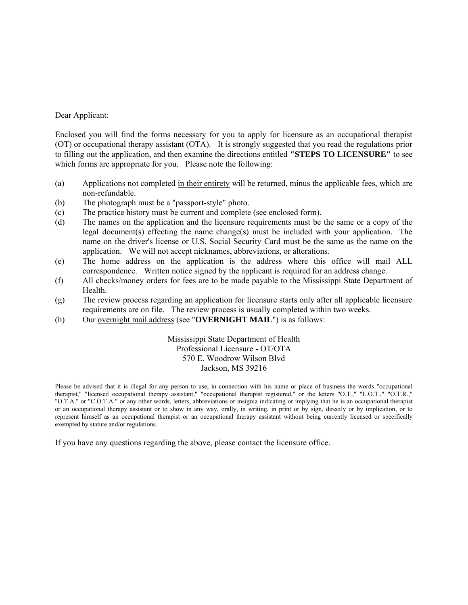#### Dear Applicant:

Enclosed you will find the forms necessary for you to apply for licensure as an occupational therapist (OT) or occupational therapy assistant (OTA). It is strongly suggested that you read the regulations prior to filling out the application, and then examine the directions entitled **"STEPS TO LICENSURE"** to see which forms are appropriate for you. Please note the following:

- (a) Applications not completed in their entirety will be returned, minus the applicable fees, which are non-refundable.
- (b) The photograph must be a "passport-style" photo.
- (c) The practice history must be current and complete (see enclosed form).
- (d) The names on the application and the licensure requirements must be the same or a copy of the legal document(s) effecting the name change(s) must be included with your application. The name on the driver's license or U.S. Social Security Card must be the same as the name on the application. We will not accept nicknames, abbreviations, or alterations.
- (e) The home address on the application is the address where this office will mail ALL correspondence. Written notice signed by the applicant is required for an address change.
- (f) All checks/money orders for fees are to be made payable to the Mississippi State Department of Health.
- (g) The review process regarding an application for licensure starts only after all applicable licensure requirements are on file. The review process is usually completed within two weeks.
- (h) Our overnight mail address (see "**OVERNIGHT MAIL**") is as follows:

Mississippi State Department of Health Professional Licensure - OT/OTA 570 E. Woodrow Wilson Blvd Jackson, MS 39216

Please be advised that it is illegal for any person to use, in connection with his name or place of business the words "occupational therapist," "licensed occupational therapy assistant," "occupational therapist registered," or the letters "O.T.," "L.O.T.," "O.T.R.," "O.T.A." or "C.O.T.A." or any other words, letters, abbreviations or insignia indicating or implying that he is an occupational therapist or an occupational therapy assistant or to show in any way, orally, in writing, in print or by sign, directly or by implication, or to represent himself as an occupational therapist or an occupational therapy assistant without being currently licensed or specifically exempted by statute and/or regulations.

If you have any questions regarding the above, please contact the licensure office.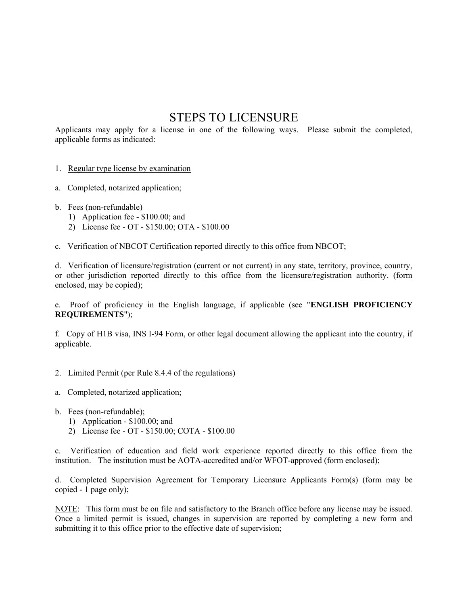# STEPS TO LICENSURE

Applicants may apply for a license in one of the following ways. Please submit the completed, applicable forms as indicated:

#### 1. Regular type license by examination

- a. Completed, notarized application;
- b. Fees (non-refundable)
	- 1) Application fee \$100.00; and
	- 2) License fee OT \$150.00; OTA \$100.00
- c. Verification of NBCOT Certification reported directly to this office from NBCOT;

d. Verification of licensure/registration (current or not current) in any state, territory, province, country, or other jurisdiction reported directly to this office from the licensure/registration authority. (form enclosed, may be copied);

e. Proof of proficiency in the English language, if applicable (see "**ENGLISH PROFICIENCY REQUIREMENTS**");

f. Copy of H1B visa, INS I-94 Form, or other legal document allowing the applicant into the country, if applicable.

#### 2. Limited Permit (per Rule 8.4.4 of the regulations)

- a. Completed, notarized application;
- b. Fees (non-refundable);
	- 1) Application \$100.00; and
	- 2) License fee OT \$150.00; COTA \$100.00

c. Verification of education and field work experience reported directly to this office from the institution. The institution must be AOTA-accredited and/or WFOT-approved (form enclosed);

d. Completed Supervision Agreement for Temporary Licensure Applicants Form(s) (form may be copied - 1 page only);

NOTE: This form must be on file and satisfactory to the Branch office before any license may be issued. Once a limited permit is issued, changes in supervision are reported by completing a new form and submitting it to this office prior to the effective date of supervision;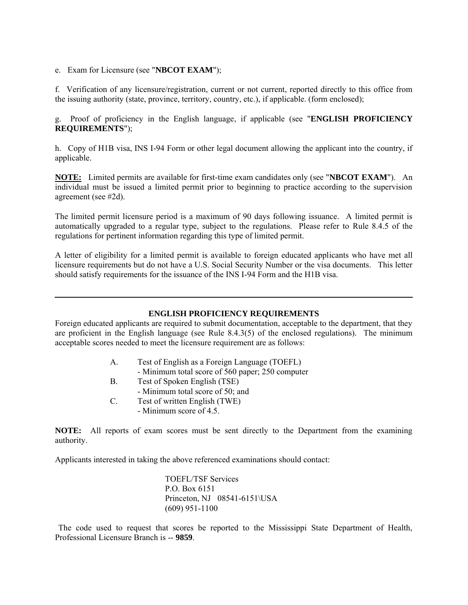e. Exam for Licensure (see "**NBCOT EXAM**");

 $\overline{a}$ 

f. Verification of any licensure/registration, current or not current, reported directly to this office from the issuing authority (state, province, territory, country, etc.), if applicable. (form enclosed);

g. Proof of proficiency in the English language, if applicable (see "**ENGLISH PROFICIENCY REQUIREMENTS**");

h. Copy of H1B visa, INS I-94 Form or other legal document allowing the applicant into the country, if applicable.

**NOTE:** Limited permits are available for first-time exam candidates only (see "**NBCOT EXAM**"). An individual must be issued a limited permit prior to beginning to practice according to the supervision agreement (see #2d).

The limited permit licensure period is a maximum of 90 days following issuance. A limited permit is automatically upgraded to a regular type, subject to the regulations. Please refer to Rule 8.4.5 of the regulations for pertinent information regarding this type of limited permit.

A letter of eligibility for a limited permit is available to foreign educated applicants who have met all licensure requirements but do not have a U.S. Social Security Number or the visa documents. This letter should satisfy requirements for the issuance of the INS I-94 Form and the H1B visa.

#### **ENGLISH PROFICIENCY REQUIREMENTS**

Foreign educated applicants are required to submit documentation, acceptable to the department, that they are proficient in the English language (see Rule 8.4.3(5) of the enclosed regulations). The minimum acceptable scores needed to meet the licensure requirement are as follows:

- A. Test of English as a Foreign Language (TOEFL)
	- Minimum total score of 560 paper; 250 computer
- B. Test of Spoken English (TSE)
- Minimum total score of 50; and
- C. Test of written English (TWE)
	- Minimum score of 4.5.

**NOTE:** All reports of exam scores must be sent directly to the Department from the examining authority.

Applicants interested in taking the above referenced examinations should contact:

 TOEFL/TSF Services P.O. Box 6151 Princeton, NJ 08541-6151\USA (609) 951-1100

 The code used to request that scores be reported to the Mississippi State Department of Health, Professional Licensure Branch is -- **9859**.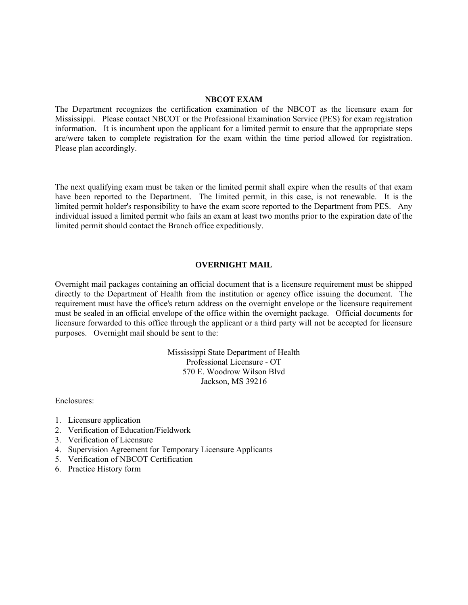#### **NBCOT EXAM**

The Department recognizes the certification examination of the NBCOT as the licensure exam for Mississippi. Please contact NBCOT or the Professional Examination Service (PES) for exam registration information. It is incumbent upon the applicant for a limited permit to ensure that the appropriate steps are/were taken to complete registration for the exam within the time period allowed for registration. Please plan accordingly.

The next qualifying exam must be taken or the limited permit shall expire when the results of that exam have been reported to the Department. The limited permit, in this case, is not renewable. It is the limited permit holder's responsibility to have the exam score reported to the Department from PES. Any individual issued a limited permit who fails an exam at least two months prior to the expiration date of the limited permit should contact the Branch office expeditiously.

#### **OVERNIGHT MAIL**

Overnight mail packages containing an official document that is a licensure requirement must be shipped directly to the Department of Health from the institution or agency office issuing the document. The requirement must have the office's return address on the overnight envelope or the licensure requirement must be sealed in an official envelope of the office within the overnight package. Official documents for licensure forwarded to this office through the applicant or a third party will not be accepted for licensure purposes. Overnight mail should be sent to the:

> Mississippi State Department of Health Professional Licensure - OT 570 E. Woodrow Wilson Blvd Jackson, MS 39216

Enclosures:

- 1. Licensure application
- 2. Verification of Education/Fieldwork
- 3. Verification of Licensure
- 4. Supervision Agreement for Temporary Licensure Applicants
- 5. Verification of NBCOT Certification
- 6. Practice History form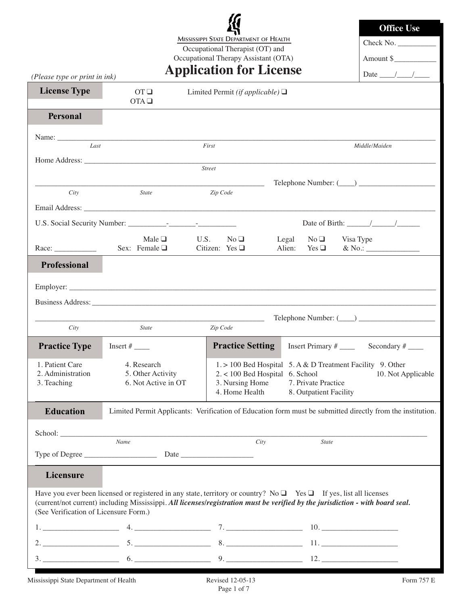**MISSISSIPPI STATE DEPARTMENT OF HEALTH**

Occupational Therapist (OT) and Occupational Therapy Assistant (OTA)

| <b>Office Use</b>                                                        |
|--------------------------------------------------------------------------|
| Check No. $\_\_$                                                         |
| Amount \$                                                                |
| $\mathbf{D}$ , $\mathbf{D}$ , $\mathbf{D}$ , $\mathbf{D}$ , $\mathbf{D}$ |

| (Please type or print in ink)                       |                                                                                                                                                                                                                                                                | <b>Application for License</b>                                                                             |                                                                                                             | Date $\frac{1}{\sqrt{2\pi}}$        |
|-----------------------------------------------------|----------------------------------------------------------------------------------------------------------------------------------------------------------------------------------------------------------------------------------------------------------------|------------------------------------------------------------------------------------------------------------|-------------------------------------------------------------------------------------------------------------|-------------------------------------|
| <b>License Type</b>                                 | OTQ<br>$OTA \square$                                                                                                                                                                                                                                           | Limited Permit ( <i>if applicable</i> ) $\Box$                                                             |                                                                                                             |                                     |
| Personal                                            |                                                                                                                                                                                                                                                                |                                                                                                            |                                                                                                             |                                     |
| Last                                                |                                                                                                                                                                                                                                                                | First                                                                                                      |                                                                                                             | Middle/Maiden                       |
|                                                     |                                                                                                                                                                                                                                                                |                                                                                                            |                                                                                                             |                                     |
|                                                     |                                                                                                                                                                                                                                                                | <b>Street</b>                                                                                              |                                                                                                             |                                     |
| City                                                | <b>State</b>                                                                                                                                                                                                                                                   | Zip Code                                                                                                   |                                                                                                             |                                     |
|                                                     |                                                                                                                                                                                                                                                                |                                                                                                            |                                                                                                             |                                     |
|                                                     |                                                                                                                                                                                                                                                                |                                                                                                            |                                                                                                             | Date of Birth: $\frac{\sqrt{2}}{2}$ |
|                                                     | Male $\Box$<br>Sex: Female $\Box$                                                                                                                                                                                                                              | U.S.<br>$No \square$<br>Citizen: Yes $\square$                                                             | Legal<br>$No \square$<br>Alien: Yes $\Box$                                                                  | Visa Type<br>$& \text{No.:}$        |
| Professional                                        |                                                                                                                                                                                                                                                                |                                                                                                            |                                                                                                             |                                     |
|                                                     |                                                                                                                                                                                                                                                                |                                                                                                            |                                                                                                             |                                     |
|                                                     |                                                                                                                                                                                                                                                                |                                                                                                            |                                                                                                             |                                     |
|                                                     |                                                                                                                                                                                                                                                                |                                                                                                            |                                                                                                             |                                     |
| City                                                | <b>State</b>                                                                                                                                                                                                                                                   | Zip Code                                                                                                   |                                                                                                             |                                     |
| <b>Practice Type</b>                                |                                                                                                                                                                                                                                                                | <b>Practice Setting</b>                                                                                    |                                                                                                             |                                     |
| 1. Patient Care<br>2. Administration<br>3. Teaching | 4. Research<br>5. Other Activity<br>6. Not Active in OT                                                                                                                                                                                                        | $2. < 100$ Bed Hospital 6. School<br>3. Nursing Home<br>4. Home Health                                     | 1. > 100 Bed Hospital 5. A & D Treatment Facility 9. Other<br>7. Private Practice<br>8. Outpatient Facility | 10. Not Applicable                  |
| <b>Education</b>                                    |                                                                                                                                                                                                                                                                | Limited Permit Applicants: Verification of Education form must be submitted directly from the institution. |                                                                                                             |                                     |
|                                                     |                                                                                                                                                                                                                                                                |                                                                                                            |                                                                                                             |                                     |
|                                                     | School: <u>Name</u>                                                                                                                                                                                                                                            | $\overline{City}$                                                                                          | State                                                                                                       |                                     |
| Licensure                                           |                                                                                                                                                                                                                                                                |                                                                                                            |                                                                                                             |                                     |
| (See Verification of Licensure Form.)               | Have you ever been licensed or registered in any state, territory or country? No $\Box$ Yes $\Box$ If yes, list all licenses<br>(current/not current) including Mississippi. All licenses/registration must be verified by the jurisdiction - with board seal. |                                                                                                            |                                                                                                             |                                     |
|                                                     |                                                                                                                                                                                                                                                                |                                                                                                            |                                                                                                             |                                     |
|                                                     |                                                                                                                                                                                                                                                                |                                                                                                            |                                                                                                             |                                     |
|                                                     |                                                                                                                                                                                                                                                                |                                                                                                            |                                                                                                             |                                     |
|                                                     | Mississippi State Department of Health Revised 12-05-13                                                                                                                                                                                                        |                                                                                                            |                                                                                                             | Form 757 E                          |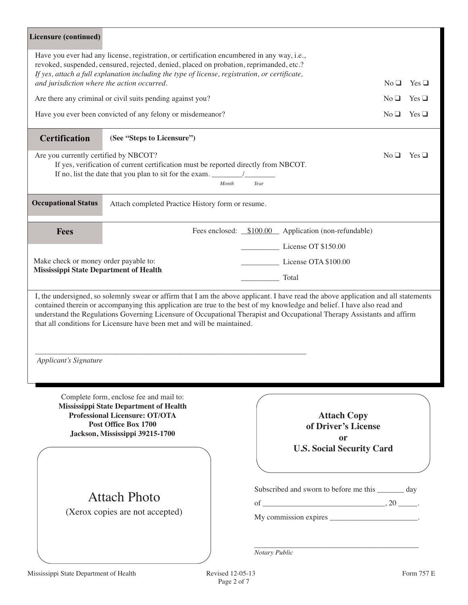| Licensure (continued)                         |                                                                                                                                                                                                                                                                                         |                                                                                                                                                                                                                                                                                                                                                                                            |                                  |
|-----------------------------------------------|-----------------------------------------------------------------------------------------------------------------------------------------------------------------------------------------------------------------------------------------------------------------------------------------|--------------------------------------------------------------------------------------------------------------------------------------------------------------------------------------------------------------------------------------------------------------------------------------------------------------------------------------------------------------------------------------------|----------------------------------|
|                                               | Have you ever had any license, registration, or certification encumbered in any way, i.e.,<br>revoked, suspended, censured, rejected, denied, placed on probation, reprimanded, etc.?<br>If yes, attach a full explanation including the type of license, registration, or certificate, |                                                                                                                                                                                                                                                                                                                                                                                            |                                  |
| and jurisdiction where the action occurred.   |                                                                                                                                                                                                                                                                                         |                                                                                                                                                                                                                                                                                                                                                                                            | $No \square$<br>$Yes \square$    |
|                                               | Are there any criminal or civil suits pending against you?                                                                                                                                                                                                                              |                                                                                                                                                                                                                                                                                                                                                                                            | $Yes \square$<br>No <sub>u</sub> |
|                                               | Have you ever been convicted of any felony or misdemeanor?                                                                                                                                                                                                                              |                                                                                                                                                                                                                                                                                                                                                                                            | $No \square$<br>$Yes \square$    |
| <b>Certification</b>                          | (See "Steps to Licensure")                                                                                                                                                                                                                                                              |                                                                                                                                                                                                                                                                                                                                                                                            |                                  |
| Are you currently certified by NBCOT?         | If yes, verification of current certification must be reported directly from NBCOT.<br>Month                                                                                                                                                                                            | Year                                                                                                                                                                                                                                                                                                                                                                                       | No <sub>1</sub><br>$Yes \square$ |
| <b>Occupational Status</b>                    | Attach completed Practice History form or resume.                                                                                                                                                                                                                                       |                                                                                                                                                                                                                                                                                                                                                                                            |                                  |
| <b>Fees</b>                                   |                                                                                                                                                                                                                                                                                         | Fees enclosed: \$100.00 Application (non-refundable)                                                                                                                                                                                                                                                                                                                                       |                                  |
|                                               |                                                                                                                                                                                                                                                                                         | License OT \$150.00                                                                                                                                                                                                                                                                                                                                                                        |                                  |
| Make check or money order payable to:         |                                                                                                                                                                                                                                                                                         | License OTA \$100.00                                                                                                                                                                                                                                                                                                                                                                       |                                  |
| <b>Mississippi State Department of Health</b> |                                                                                                                                                                                                                                                                                         | Total                                                                                                                                                                                                                                                                                                                                                                                      |                                  |
| Applicant's Signature                         | that all conditions for Licensure have been met and will be maintained.                                                                                                                                                                                                                 | I, the undersigned, so solemnly swear or affirm that I am the above applicant. I have read the above application and all statements<br>contained therein or accompanying this application are true to the best of my knowledge and belief. I have also read and<br>understand the Regulations Governing Licensure of Occupational Therapist and Occupational Therapy Assistants and affirm |                                  |
|                                               | Complete form, enclose fee and mail to:<br>Mississippi State Department of Health<br><b>Professional Licensure: OT/OTA</b><br>Post Office Box 1700<br>Jackson, Mississippi 39215-1700                                                                                                   | <b>Attach Copy</b><br>of Driver's License<br><b>or</b><br><b>U.S. Social Security Card</b>                                                                                                                                                                                                                                                                                                 |                                  |
|                                               | <b>Attach Photo</b><br>(Xerox copies are not accepted)                                                                                                                                                                                                                                  | Subscribed and sworn to before me this ________ day<br>My commission expires _________________________.<br>Notary Public                                                                                                                                                                                                                                                                   |                                  |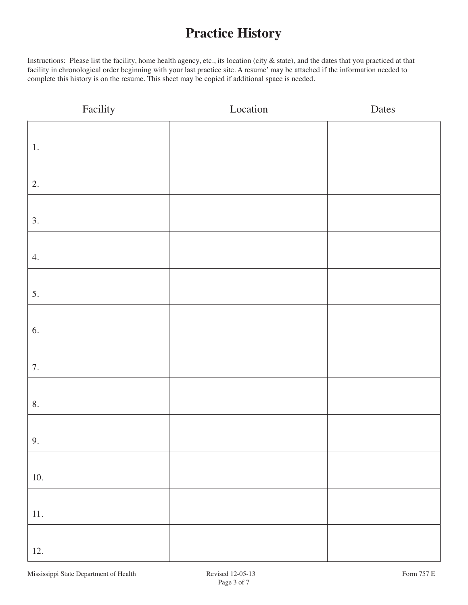# **Practice History**

Instructions: Please list the facility, home health agency, etc., its location (city & state), and the dates that you practiced at that facility in chronological order beginning with your last practice site. A resume' may be attached if the information needed to complete this history is on the resume. This sheet may be copied if additional space is needed.

| Facility  | Location | Dates |
|-----------|----------|-------|
|           |          |       |
| $1.$ $\,$ |          |       |
|           |          |       |
| 2.        |          |       |
|           |          |       |
| 3.        |          |       |
|           |          |       |
| 4.        |          |       |
|           |          |       |
| 5.        |          |       |
|           |          |       |
| 6.        |          |       |
|           |          |       |
| 7.        |          |       |
|           |          |       |
| 8.        |          |       |
|           |          |       |
| 9.        |          |       |
|           |          |       |
| $10.$     |          |       |
|           |          |       |
| $11.$     |          |       |
|           |          |       |
| 12.       |          |       |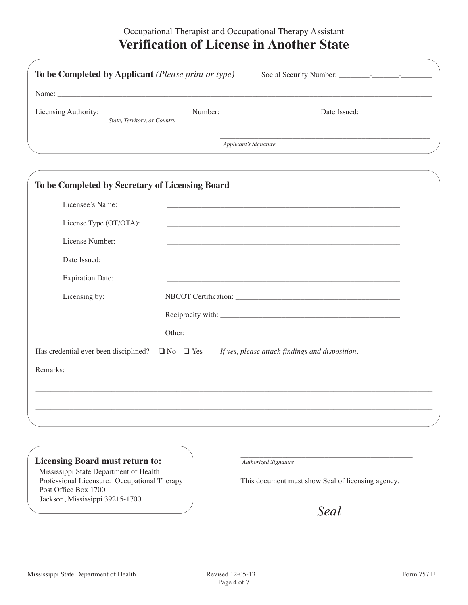# Occupational Therapist and Occupational Therapy Assistant **Verification of License in Another State**

| To be Completed by Applicant ( <i>Please print or type</i> ) |                              |  |
|--------------------------------------------------------------|------------------------------|--|
|                                                              |                              |  |
| State, Territory, or Country                                 | Date Issued:                 |  |
|                                                              | <b>Applicant's Signature</b> |  |

| Licensee's Name:        |                                                                                                                       |
|-------------------------|-----------------------------------------------------------------------------------------------------------------------|
| License Type (OT/OTA):  |                                                                                                                       |
| License Number:         | <u> 1989 - Johann Stoff, deutscher Stoff, der Stoff, der Stoff, der Stoff, der Stoff, der Stoff, der Stoff, der S</u> |
| Date Issued:            |                                                                                                                       |
| <b>Expiration Date:</b> |                                                                                                                       |
| Licensing by:           |                                                                                                                       |
|                         |                                                                                                                       |
|                         |                                                                                                                       |
|                         | Has credential ever been disciplined? $\Box$ No $\Box$ Yes If yes, please attach findings and disposition.            |
|                         |                                                                                                                       |

#### **Licensing Board must return to:**

Mississippi State Department of Health Professional Licensure: Occupational Therapy Post Office Box 1700 Jackson, Mississippi 39215-1700

\_\_\_\_\_\_\_\_\_\_\_\_\_\_\_\_\_\_\_\_\_\_\_\_\_\_\_\_\_\_\_\_\_\_\_\_\_\_\_\_\_\_\_\_\_ *Authorized Signature*

This document must show Seal of licensing agency.

*Seal*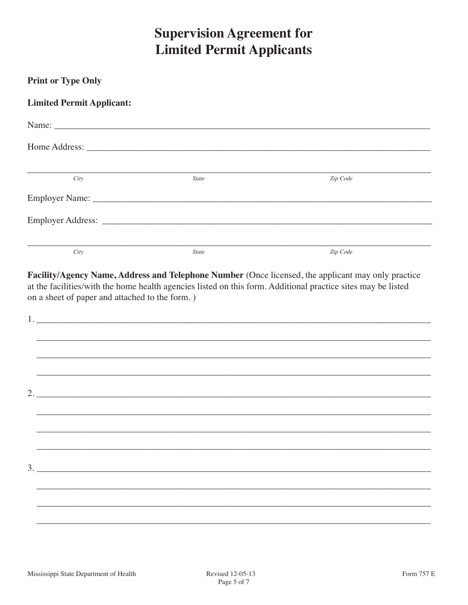# **Supervision Agreement for Limited Permit Applicants**

| <b>Print or Type Only</b>                      |              |                                                                                                                                                                                                                    |
|------------------------------------------------|--------------|--------------------------------------------------------------------------------------------------------------------------------------------------------------------------------------------------------------------|
| <b>Limited Permit Applicant:</b>               |              |                                                                                                                                                                                                                    |
|                                                |              |                                                                                                                                                                                                                    |
|                                                |              |                                                                                                                                                                                                                    |
| City                                           | <b>State</b> | Zip Code                                                                                                                                                                                                           |
|                                                |              |                                                                                                                                                                                                                    |
|                                                |              |                                                                                                                                                                                                                    |
| City                                           | <b>State</b> | Zip Code                                                                                                                                                                                                           |
| on a sheet of paper and attached to the form.) |              | Facility/Agency Name, Address and Telephone Number (Once licensed, the applicant may only practice<br>at the facilities/with the home health agencies listed on this form. Additional practice sites may be listed |
|                                                |              |                                                                                                                                                                                                                    |
|                                                |              |                                                                                                                                                                                                                    |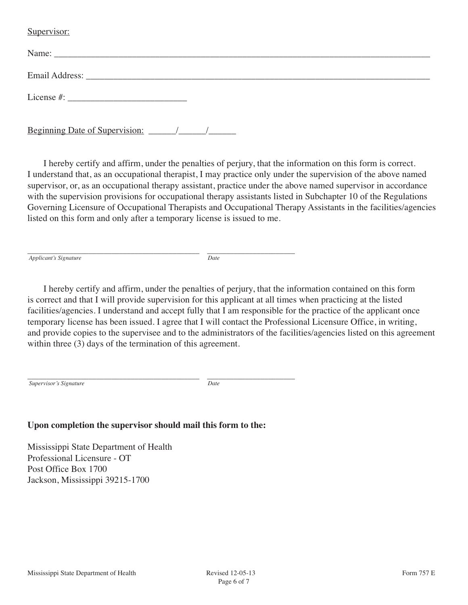#### Supervisor:

| Beginning Date of Supervision: |  |  |  |
|--------------------------------|--|--|--|

I hereby certify and affirm, under the penalties of perjury, that the information on this form is correct. I understand that, as an occupational therapist, I may practice only under the supervision of the above named supervisor, or, as an occupational therapy assistant, practice under the above named supervisor in accordance with the supervision provisions for occupational therapy assistants listed in Subchapter 10 of the Regulations Governing Licensure of Occupational Therapists and Occupational Therapy Assistants in the facilities/agencies listed on this form and only after a temporary license is issued to me.

\_\_\_\_\_\_\_\_\_\_\_\_\_\_\_\_\_\_\_\_\_\_\_\_\_\_\_\_\_\_\_\_\_\_\_\_\_\_\_\_\_\_\_\_\_ \_\_\_\_\_\_\_\_\_\_\_\_\_\_\_\_\_\_\_\_\_\_\_ *Applicant's Signature Date*

I hereby certify and affirm, under the penalties of perjury, that the information contained on this form is correct and that I will provide supervision for this applicant at all times when practicing at the listed facilities/agencies. I understand and accept fully that I am responsible for the practice of the applicant once temporary license has been issued. I agree that I will contact the Professional Licensure Office, in writing, and provide copies to the supervisee and to the administrators of the facilities/agencies listed on this agreement within three  $(3)$  days of the termination of this agreement.

\_\_\_\_\_\_\_\_\_\_\_\_\_\_\_\_\_\_\_\_\_\_\_\_\_\_\_\_\_\_\_\_\_\_\_\_\_\_\_\_\_\_\_\_\_ \_\_\_\_\_\_\_\_\_\_\_\_\_\_\_\_\_\_\_\_\_\_\_ *Supervisor's Signature Date*

# **Upon completion the supervisor should mail this form to the:**

Mississippi State Department of Health Professional Licensure - OT Post Office Box 1700 Jackson, Mississippi 39215-1700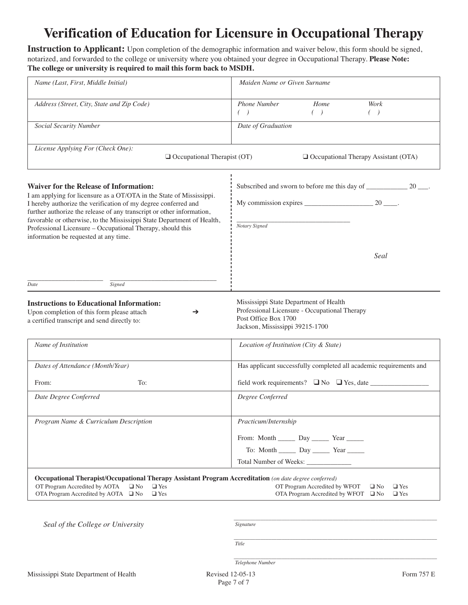# **Verification of Education for Licensure in Occupational Therapy**

**Instruction to Applicant:** Upon completion of the demographic information and waiver below, this form should be signed, notarized, and forwarded to the college or university where you obtained your degree in Occupational Therapy. **Please Note: The college or university is required to mail this form back to MSDH.**

| Name (Last, First, Middle Initial)                                                                                                                                                                                                                                                                                                                                                                                                                | Maiden Name or Given Surname                                                                                                                       |
|---------------------------------------------------------------------------------------------------------------------------------------------------------------------------------------------------------------------------------------------------------------------------------------------------------------------------------------------------------------------------------------------------------------------------------------------------|----------------------------------------------------------------------------------------------------------------------------------------------------|
| Address (Street, City, State and Zip Code)                                                                                                                                                                                                                                                                                                                                                                                                        | Phone Number<br>Home<br>Work<br>$($ )<br>$\left( \quad \right)$<br>$($ )                                                                           |
| Social Security Number                                                                                                                                                                                                                                                                                                                                                                                                                            | Date of Graduation                                                                                                                                 |
| License Applying For (Check One):<br>$\Box$ Occupational Therapist (OT)                                                                                                                                                                                                                                                                                                                                                                           | Occupational Therapy Assistant (OTA)                                                                                                               |
| <b>Waiver for the Release of Information:</b><br>I am applying for licensure as a OT/OTA in the State of Mississippi.<br>I hereby authorize the verification of my degree conferred and<br>further authorize the release of any transcript or other information,<br>favorable or otherwise, to the Mississippi State Department of Health,<br>Professional Licensure - Occupational Therapy, should this<br>information be requested at any time. | My commission expires $\frac{20}{2}$ .<br>Notary Signed                                                                                            |
| Signed<br>Date                                                                                                                                                                                                                                                                                                                                                                                                                                    | Seal                                                                                                                                               |
| <b>Instructions to Educational Information:</b><br>Upon completion of this form please attach<br>→<br>a certified transcript and send directly to:                                                                                                                                                                                                                                                                                                | Mississippi State Department of Health<br>Professional Licensure - Occupational Therapy<br>Post Office Box 1700<br>Jackson, Mississippi 39215-1700 |
| Name of Institution                                                                                                                                                                                                                                                                                                                                                                                                                               | Location of Institution (City & State)                                                                                                             |
| Dates of Attendance (Month/Year)                                                                                                                                                                                                                                                                                                                                                                                                                  | Has applicant successfully completed all academic requirements and                                                                                 |
| To:<br>From:                                                                                                                                                                                                                                                                                                                                                                                                                                      |                                                                                                                                                    |
| Date Degree Conferred                                                                                                                                                                                                                                                                                                                                                                                                                             | Degree Conferred                                                                                                                                   |
| Program Name & Curriculum Description                                                                                                                                                                                                                                                                                                                                                                                                             | Practicum/Internship<br>From: Month _______ Day _______ Year ______<br>To: Month _______ Day _______ Year ______                                   |
| Occupational Therapist/Occupational Therapy Assistant Program Accreditation (on date degree conferred)<br>OT Program Accredited by AOTA<br>$\Box$ No<br>$\Box$ Yes<br>OTA Program Accredited by AOTA $\Box$ No<br>$\Box$ Yes                                                                                                                                                                                                                      | OT Program Accredited by WFOT<br>$\square$ No<br>$\Box$ Yes<br>OTA Program Accredited by WFOT $\Box$ No<br>$\Box$ Yes                              |

*Seal of the College or University* 

*Signature*

*Title*

*Telephone Number*

*\_\_\_\_\_\_\_\_\_\_\_\_\_\_\_\_\_\_\_\_\_\_\_\_\_\_\_\_\_\_\_\_\_\_\_\_\_\_\_\_\_\_\_\_\_\_\_\_\_\_\_\_\_\_\_\_\_\_\_\_\_\_\_\_\_\_\_\_\_\_\_\_\_\_\_\_*

*\_\_\_\_\_\_\_\_\_\_\_\_\_\_\_\_\_\_\_\_\_\_\_\_\_\_\_\_\_\_\_\_\_\_\_\_\_\_\_\_\_\_\_\_\_\_\_\_\_\_\_\_\_\_\_\_\_\_\_\_\_\_\_\_\_\_\_\_\_\_\_\_\_\_\_\_*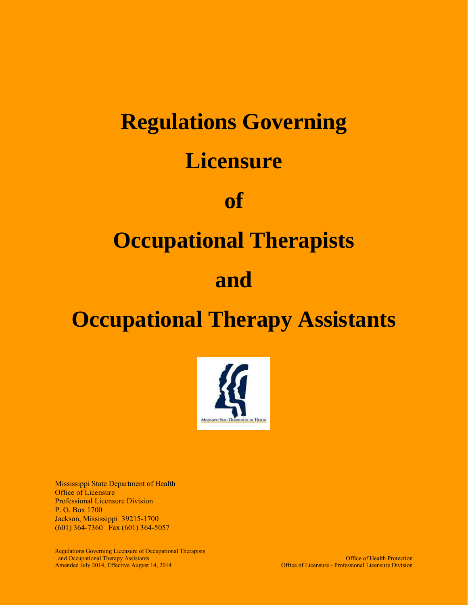# **Regulations Governing Licensure of Occupational Therapists and Occupational Therapy Assistants**



Mississippi State Department of Health Office of Licensure Professional Licensure Division P. O. Box 1700 Jackson, Mississippi 39215-1700 (601) 364-7360 Fax (601) 364-5057

Regulations Governing Licensure of Occupational Therapists and Occupational Therapy Assistants<br>Amended July 2014, Effective August 14, 2014<br>
Office of Licensure - Professional Licensure Division Amended July 2014, Effective August 14, 2014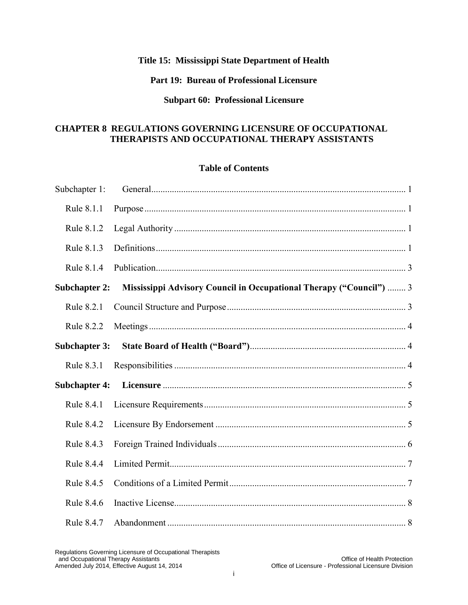#### **Title 15: Mississippi State Department of Health**

#### **Part 19: Bureau of Professional Licensure**

#### **Subpart 60: Professional Licensure**

#### **CHAPTER 8 REGULATIONS GOVERNING LICENSURE OF OCCUPATIONAL THERAPISTS AND OCCUPATIONAL THERAPY ASSISTANTS**

#### **Table of Contents**

| Subchapter 1:        |                                                                     |  |
|----------------------|---------------------------------------------------------------------|--|
| Rule 8.1.1           |                                                                     |  |
| Rule 8.1.2           |                                                                     |  |
| Rule 8.1.3           |                                                                     |  |
| Rule 8.1.4           |                                                                     |  |
| <b>Subchapter 2:</b> | Mississippi Advisory Council in Occupational Therapy ("Council")  3 |  |
| Rule 8.2.1           |                                                                     |  |
| Rule 8.2.2           |                                                                     |  |
| <b>Subchapter 3:</b> |                                                                     |  |
| Rule 8.3.1           |                                                                     |  |
|                      |                                                                     |  |
| Rule 8.4.1           |                                                                     |  |
| Rule 8.4.2           |                                                                     |  |
| Rule 8.4.3           |                                                                     |  |
| Rule 8.4.4           |                                                                     |  |
| Rule 8.4.5           |                                                                     |  |
| Rule 8.4.6           |                                                                     |  |
| Rule 8.4.7           |                                                                     |  |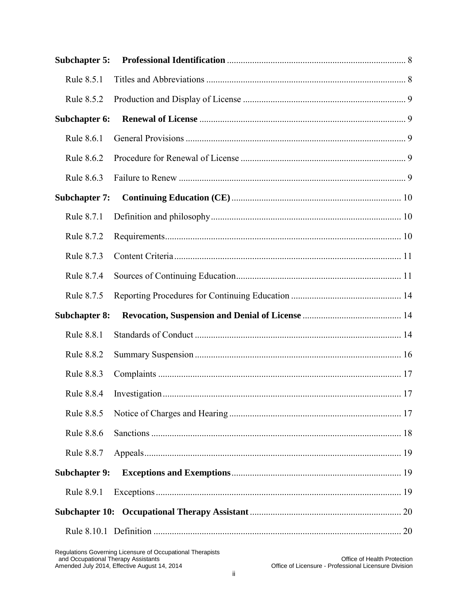| <b>Subchapter 5:</b> |  |
|----------------------|--|
| Rule 8.5.1           |  |
| Rule 8.5.2           |  |
| Subchapter 6:        |  |
| Rule 8.6.1           |  |
| Rule 8.6.2           |  |
| Rule 8.6.3           |  |
| <b>Subchapter 7:</b> |  |
| Rule 8.7.1           |  |
| Rule 8.7.2           |  |
| Rule 8.7.3           |  |
| Rule 8.7.4           |  |
| Rule 8.7.5           |  |
| <b>Subchapter 8:</b> |  |
| Rule 8.8.1           |  |
| Rule 8.8.2           |  |
|                      |  |
| Rule 8.8.3           |  |
| Rule 8.8.4           |  |
| Rule 8.8.5           |  |
| Rule 8.8.6           |  |
| Rule 8.8.7           |  |
| <b>Subchapter 9:</b> |  |
| Rule 8.9.1           |  |
|                      |  |
|                      |  |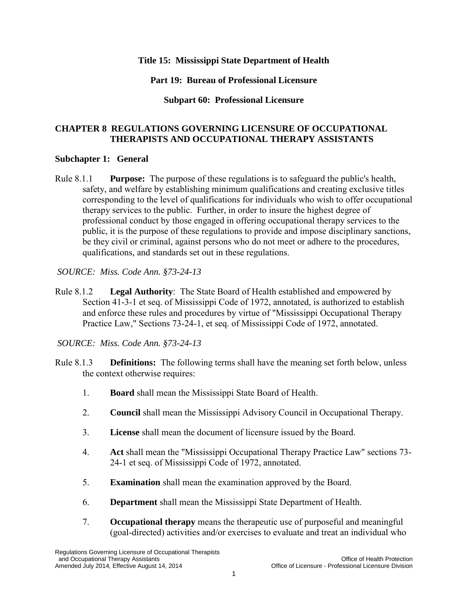#### **Title 15: Mississippi State Department of Health**

#### **Part 19: Bureau of Professional Licensure**

#### **Subpart 60: Professional Licensure**

#### **CHAPTER 8 REGULATIONS GOVERNING LICENSURE OF OCCUPATIONAL THERAPISTS AND OCCUPATIONAL THERAPY ASSISTANTS**

#### <span id="page-15-0"></span>**Subchapter 1: General**

<span id="page-15-1"></span>Rule 8.1.1 **Purpose:** The purpose of these regulations is to safeguard the public's health, safety, and welfare by establishing minimum qualifications and creating exclusive titles corresponding to the level of qualifications for individuals who wish to offer occupational therapy services to the public. Further, in order to insure the highest degree of professional conduct by those engaged in offering occupational therapy services to the public, it is the purpose of these regulations to provide and impose disciplinary sanctions, be they civil or criminal, against persons who do not meet or adhere to the procedures, qualifications, and standards set out in these regulations.

*SOURCE: Miss. Code Ann. §73-24-13* 

<span id="page-15-2"></span>Rule 8.1.2 **Legal Authority**: The State Board of Health established and empowered by Section 41-3-1 et seq. of Mississippi Code of 1972, annotated, is authorized to establish and enforce these rules and procedures by virtue of "Mississippi Occupational Therapy Practice Law," Sections 73-24-1, et seq. of Mississippi Code of 1972, annotated.

- <span id="page-15-3"></span>Rule 8.1.3 **Definitions:** The following terms shall have the meaning set forth below, unless the context otherwise requires:
	- 1. **Board** shall mean the Mississippi State Board of Health.
	- 2. **Council** shall mean the Mississippi Advisory Council in Occupational Therapy.
	- 3. **License** shall mean the document of licensure issued by the Board.
	- 4. **Act** shall mean the "Mississippi Occupational Therapy Practice Law" sections 73- 24-1 et seq. of Mississippi Code of 1972, annotated.
	- 5. **Examination** shall mean the examination approved by the Board.
	- 6. **Department** shall mean the Mississippi State Department of Health.
	- 7. **Occupational therapy** means the therapeutic use of purposeful and meaningful (goal-directed) activities and/or exercises to evaluate and treat an individual who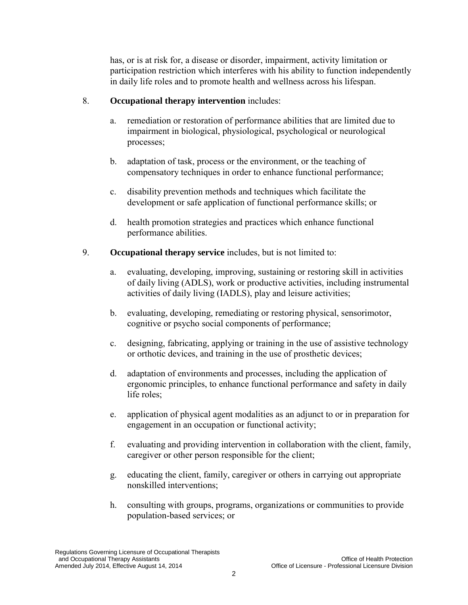has, or is at risk for, a disease or disorder, impairment, activity limitation or participation restriction which interferes with his ability to function independently in daily life roles and to promote health and wellness across his lifespan.

### 8. **Occupational therapy intervention** includes:

- a. remediation or restoration of performance abilities that are limited due to impairment in biological, physiological, psychological or neurological processes;
- b. adaptation of task, process or the environment, or the teaching of compensatory techniques in order to enhance functional performance;
- c. disability prevention methods and techniques which facilitate the development or safe application of functional performance skills; or
- d. health promotion strategies and practices which enhance functional performance abilities.
- 9. **Occupational therapy service** includes, but is not limited to:
	- a. evaluating, developing, improving, sustaining or restoring skill in activities of daily living (ADLS), work or productive activities, including instrumental activities of daily living (IADLS), play and leisure activities;
	- b. evaluating, developing, remediating or restoring physical, sensorimotor, cognitive or psycho social components of performance;
	- c. designing, fabricating, applying or training in the use of assistive technology or orthotic devices, and training in the use of prosthetic devices;
	- d. adaptation of environments and processes, including the application of ergonomic principles, to enhance functional performance and safety in daily life roles;
	- e. application of physical agent modalities as an adjunct to or in preparation for engagement in an occupation or functional activity;
	- f. evaluating and providing intervention in collaboration with the client, family, caregiver or other person responsible for the client;
	- g. educating the client, family, caregiver or others in carrying out appropriate nonskilled interventions;
	- h. consulting with groups, programs, organizations or communities to provide population-based services; or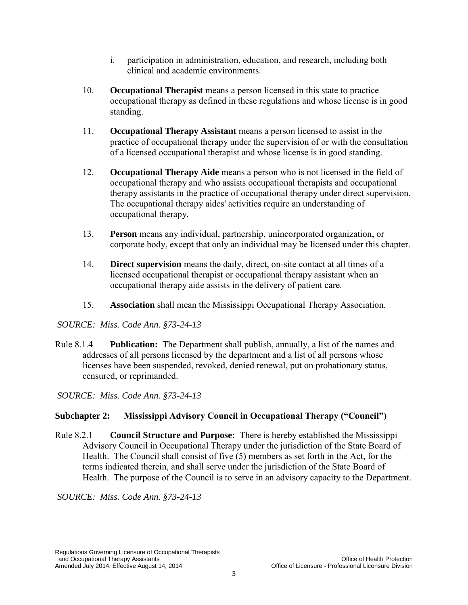- i. participation in administration, education, and research, including both clinical and academic environments.
- 10. **Occupational Therapist** means a person licensed in this state to practice occupational therapy as defined in these regulations and whose license is in good standing.
- 11. **Occupational Therapy Assistant** means a person licensed to assist in the practice of occupational therapy under the supervision of or with the consultation of a licensed occupational therapist and whose license is in good standing.
- 12. **Occupational Therapy Aide** means a person who is not licensed in the field of occupational therapy and who assists occupational therapists and occupational therapy assistants in the practice of occupational therapy under direct supervision. The occupational therapy aides' activities require an understanding of occupational therapy.
- 13. **Person** means any individual, partnership, unincorporated organization, or corporate body, except that only an individual may be licensed under this chapter.
- 14. **Direct supervision** means the daily, direct, on-site contact at all times of a licensed occupational therapist or occupational therapy assistant when an occupational therapy aide assists in the delivery of patient care.
- 15. **Association** shall mean the Mississippi Occupational Therapy Association.

Rule 8.1.4 **Publication:** The Department shall publish, annually, a list of the names and addresses of all persons licensed by the department and a list of all persons whose licenses have been suspended, revoked, denied renewal, put on probationary status, censured, or reprimanded.

<span id="page-17-0"></span>*SOURCE: Miss. Code Ann. §73-24-13* 

# **Subchapter 2: Mississippi Advisory Council in Occupational Therapy ("Council")**

<span id="page-17-2"></span><span id="page-17-1"></span>Rule 8.2.1 **Council Structure and Purpose:** There is hereby established the Mississippi Advisory Council in Occupational Therapy under the jurisdiction of the State Board of Health. The Council shall consist of five (5) members as set forth in the Act, for the terms indicated therein, and shall serve under the jurisdiction of the State Board of Health. The purpose of the Council is to serve in an advisory capacity to the Department.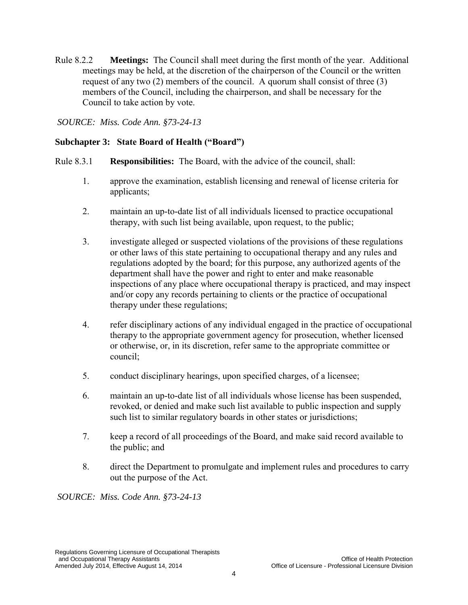Rule 8.2.2 **Meetings:** The Council shall meet during the first month of the year. Additional meetings may be held, at the discretion of the chairperson of the Council or the written request of any two (2) members of the council. A quorum shall consist of three (3) members of the Council, including the chairperson, and shall be necessary for the Council to take action by vote.

<span id="page-18-0"></span>*SOURCE: Miss. Code Ann. §73-24-13* 

# **Subchapter 3: State Board of Health ("Board")**

- <span id="page-18-2"></span><span id="page-18-1"></span>Rule 8.3.1 **Responsibilities:** The Board, with the advice of the council, shall:
	- 1. approve the examination, establish licensing and renewal of license criteria for applicants;
	- 2. maintain an up-to-date list of all individuals licensed to practice occupational therapy, with such list being available, upon request, to the public;
	- 3. investigate alleged or suspected violations of the provisions of these regulations or other laws of this state pertaining to occupational therapy and any rules and regulations adopted by the board; for this purpose, any authorized agents of the department shall have the power and right to enter and make reasonable inspections of any place where occupational therapy is practiced, and may inspect and/or copy any records pertaining to clients or the practice of occupational therapy under these regulations;
	- 4. refer disciplinary actions of any individual engaged in the practice of occupational therapy to the appropriate government agency for prosecution, whether licensed or otherwise, or, in its discretion, refer same to the appropriate committee or council;
	- 5. conduct disciplinary hearings, upon specified charges, of a licensee;
	- 6. maintain an up-to-date list of all individuals whose license has been suspended, revoked, or denied and make such list available to public inspection and supply such list to similar regulatory boards in other states or jurisdictions;
	- 7. keep a record of all proceedings of the Board, and make said record available to the public; and
	- 8. direct the Department to promulgate and implement rules and procedures to carry out the purpose of the Act.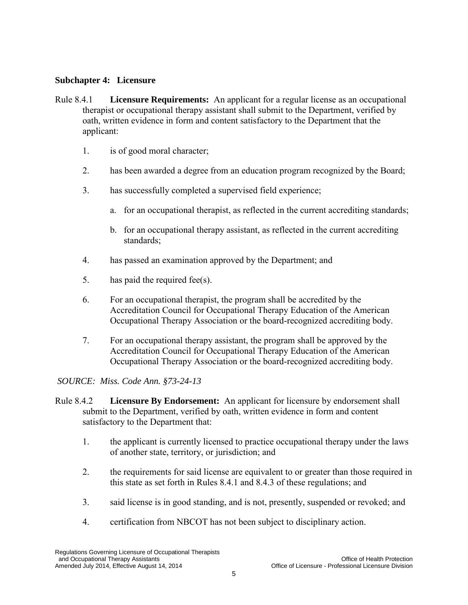#### **Subchapter 4: Licensure**

- <span id="page-19-1"></span><span id="page-19-0"></span>Rule 8.4.1 **Licensure Requirements:** An applicant for a regular license as an occupational therapist or occupational therapy assistant shall submit to the Department, verified by oath, written evidence in form and content satisfactory to the Department that the applicant:
	- 1. is of good moral character;
	- 2. has been awarded a degree from an education program recognized by the Board;
	- 3. has successfully completed a supervised field experience;
		- a. for an occupational therapist, as reflected in the current accrediting standards;
		- b. for an occupational therapy assistant, as reflected in the current accrediting standards;
	- 4. has passed an examination approved by the Department; and
	- 5. has paid the required fee(s).
	- 6. For an occupational therapist, the program shall be accredited by the Accreditation Council for Occupational Therapy Education of the American Occupational Therapy Association or the board-recognized accrediting body.
	- 7. For an occupational therapy assistant, the program shall be approved by the Accreditation Council for Occupational Therapy Education of the American Occupational Therapy Association or the board-recognized accrediting body.

- <span id="page-19-2"></span>Rule 8.4.2 **Licensure By Endorsement:** An applicant for licensure by endorsement shall submit to the Department, verified by oath, written evidence in form and content satisfactory to the Department that:
	- 1. the applicant is currently licensed to practice occupational therapy under the laws of another state, territory, or jurisdiction; and
	- 2. the requirements for said license are equivalent to or greater than those required in this state as set forth in Rules 8.4.1 and 8.4.3 of these regulations; and
	- 3. said license is in good standing, and is not, presently, suspended or revoked; and
	- 4. certification from NBCOT has not been subject to disciplinary action.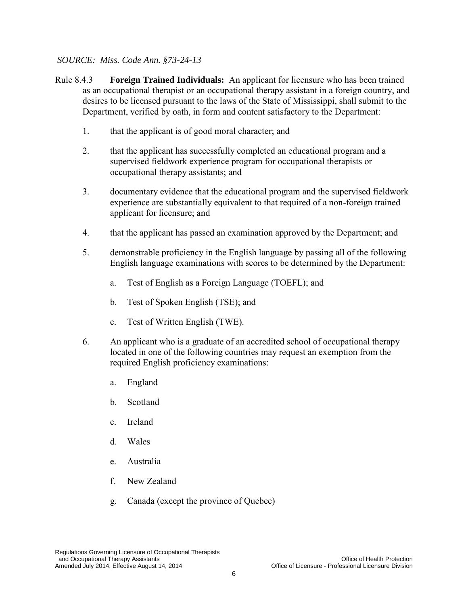- <span id="page-20-0"></span>Rule 8.4.3 **Foreign Trained Individuals:** An applicant for licensure who has been trained as an occupational therapist or an occupational therapy assistant in a foreign country, and desires to be licensed pursuant to the laws of the State of Mississippi, shall submit to the Department, verified by oath, in form and content satisfactory to the Department:
	- 1. that the applicant is of good moral character; and
	- 2. that the applicant has successfully completed an educational program and a supervised fieldwork experience program for occupational therapists or occupational therapy assistants; and
	- 3. documentary evidence that the educational program and the supervised fieldwork experience are substantially equivalent to that required of a non-foreign trained applicant for licensure; and
	- 4. that the applicant has passed an examination approved by the Department; and
	- 5. demonstrable proficiency in the English language by passing all of the following English language examinations with scores to be determined by the Department:
		- a. Test of English as a Foreign Language (TOEFL); and
		- b. Test of Spoken English (TSE); and
		- c. Test of Written English (TWE).
	- 6. An applicant who is a graduate of an accredited school of occupational therapy located in one of the following countries may request an exemption from the required English proficiency examinations:
		- a. England
		- b. Scotland
		- c. Ireland
		- d. Wales
		- e. Australia
		- f. New Zealand
		- g. Canada (except the province of Quebec)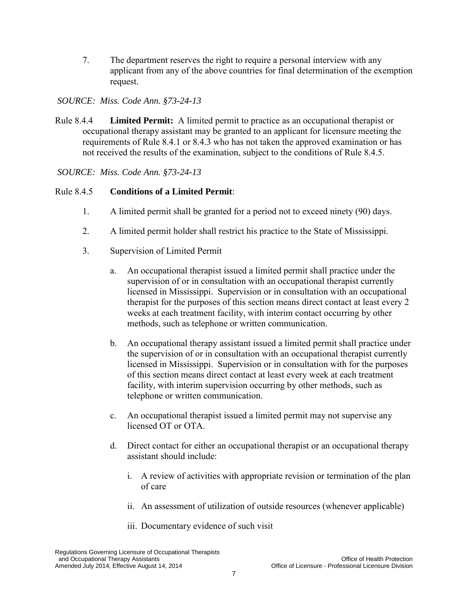7. The department reserves the right to require a personal interview with any applicant from any of the above countries for final determination of the exemption request.

#### *SOURCE: Miss. Code Ann. §73-24-13*

<span id="page-21-0"></span>Rule 8.4.4 **Limited Permit:** A limited permit to practice as an occupational therapist or occupational therapy assistant may be granted to an applicant for licensure meeting the requirements of Rule 8.4.1 or 8.4.3 who has not taken the approved examination or has not received the results of the examination, subject to the conditions of Rule 8.4.5.

*SOURCE: Miss. Code Ann. §73-24-13* 

# <span id="page-21-1"></span>Rule 8.4.5 **Conditions of a Limited Permit**:

- 1. A limited permit shall be granted for a period not to exceed ninety (90) days.
- 2. A limited permit holder shall restrict his practice to the State of Mississippi.
- 3. Supervision of Limited Permit
	- a. An occupational therapist issued a limited permit shall practice under the supervision of or in consultation with an occupational therapist currently licensed in Mississippi. Supervision or in consultation with an occupational therapist for the purposes of this section means direct contact at least every 2 weeks at each treatment facility, with interim contact occurring by other methods, such as telephone or written communication.
	- b. An occupational therapy assistant issued a limited permit shall practice under the supervision of or in consultation with an occupational therapist currently licensed in Mississippi. Supervision or in consultation with for the purposes of this section means direct contact at least every week at each treatment facility, with interim supervision occurring by other methods, such as telephone or written communication.
	- c. An occupational therapist issued a limited permit may not supervise any licensed OT or OTA.
	- d. Direct contact for either an occupational therapist or an occupational therapy assistant should include:
		- i. A review of activities with appropriate revision or termination of the plan of care
		- ii. An assessment of utilization of outside resources (whenever applicable)
		- iii. Documentary evidence of such visit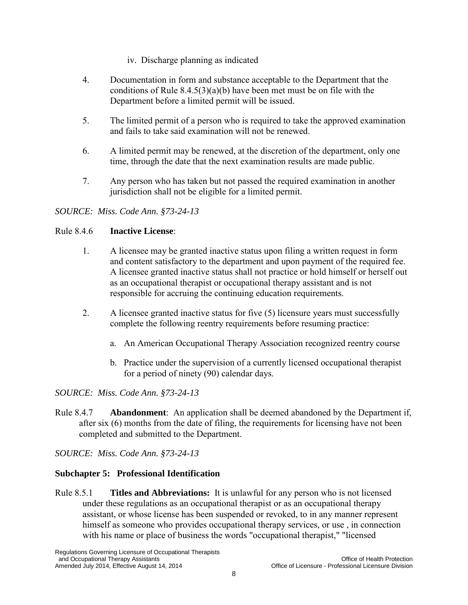- iv. Discharge planning as indicated
- 4. Documentation in form and substance acceptable to the Department that the conditions of Rule  $8.4.5(3)(a)(b)$  have been met must be on file with the Department before a limited permit will be issued.
- 5. The limited permit of a person who is required to take the approved examination and fails to take said examination will not be renewed.
- 6. A limited permit may be renewed, at the discretion of the department, only one time, through the date that the next examination results are made public.
- 7. Any person who has taken but not passed the required examination in another jurisdiction shall not be eligible for a limited permit.

#### Rule 8.4.6 **Inactive License**:

- <span id="page-22-0"></span>1. A licensee may be granted inactive status upon filing a written request in form and content satisfactory to the department and upon payment of the required fee. A licensee granted inactive status shall not practice or hold himself or herself out as an occupational therapist or occupational therapy assistant and is not responsible for accruing the continuing education requirements.
- 2. A licensee granted inactive status for five (5) licensure years must successfully complete the following reentry requirements before resuming practice:
	- a. An American Occupational Therapy Association recognized reentry course
	- b. Practice under the supervision of a currently licensed occupational therapist for a period of ninety (90) calendar days.

#### *SOURCE: Miss. Code Ann. §73-24-13*

Rule 8.4.7 **Abandonment**: An application shall be deemed abandoned by the Department if, after six (6) months from the date of filing, the requirements for licensing have not been completed and submitted to the Department.

<span id="page-22-1"></span>*SOURCE: Miss. Code Ann. §73-24-13* 

#### **Subchapter 5: Professional Identification**

<span id="page-22-2"></span>Rule 8.5.1 **Titles and Abbreviations:** It is unlawful for any person who is not licensed under these regulations as an occupational therapist or as an occupational therapy assistant, or whose license has been suspended or revoked, to in any manner represent himself as someone who provides occupational therapy services, or use , in connection with his name or place of business the words "occupational therapist," "licensed

Regulations Governing Licensure of Occupational Therapists and Occupational Therapy Assistants<br>Amended July 2014, Effective August 14, 2014 Changes of Licensure - Professional Licensure Division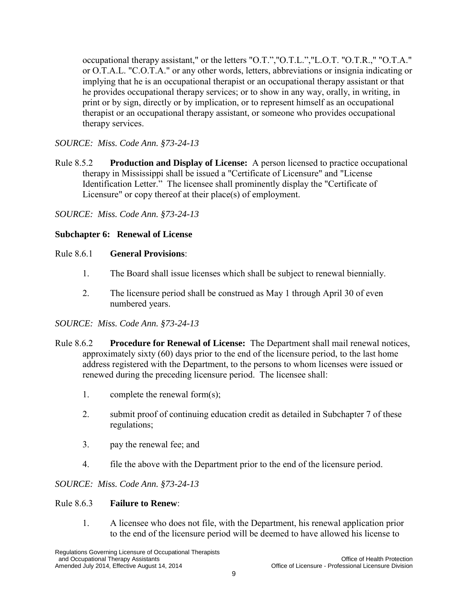<span id="page-23-0"></span>occupational therapy assistant," or the letters "O.T.","O.T.L.","L.O.T. "O.T.R.," "O.T.A." or O.T.A.L. "C.O.T.A." or any other words, letters, abbreviations or insignia indicating or implying that he is an occupational therapist or an occupational therapy assistant or that he provides occupational therapy services; or to show in any way, orally, in writing, in print or by sign, directly or by implication, or to represent himself as an occupational therapist or an occupational therapy assistant, or someone who provides occupational therapy services.

# *SOURCE: Miss. Code Ann. §73-24-13*

Rule 8.5.2 **Production and Display of License:** A person licensed to practice occupational therapy in Mississippi shall be issued a "Certificate of Licensure" and "License Identification Letter." The licensee shall prominently display the "Certificate of Licensure" or copy thereof at their place(s) of employment.

*SOURCE: Miss. Code Ann. §73-24-13* 

#### <span id="page-23-1"></span>**Subchapter 6: Renewal of License**

#### Rule 8.6.1 **General Provisions**:

- 1. The Board shall issue licenses which shall be subject to renewal biennially.
- 2. The licensure period shall be construed as May 1 through April 30 of even numbered years.

# <span id="page-23-2"></span>*SOURCE: Miss. Code Ann. §73-24-13*

- <span id="page-23-3"></span>Rule 8.6.2 **Procedure for Renewal of License:** The Department shall mail renewal notices, approximately sixty (60) days prior to the end of the licensure period, to the last home address registered with the Department, to the persons to whom licenses were issued or renewed during the preceding licensure period. The licensee shall:
	- 1. complete the renewal form(s);
	- 2. submit proof of continuing education credit as detailed in Subchapter 7 of these regulations;
	- 3. pay the renewal fee; and
	- 4. file the above with the Department prior to the end of the licensure period.

#### <span id="page-23-4"></span>*SOURCE: Miss. Code Ann. §73-24-13*

#### Rule 8.6.3 **Failure to Renew**:

1. A licensee who does not file, with the Department, his renewal application prior to the end of the licensure period will be deemed to have allowed his license to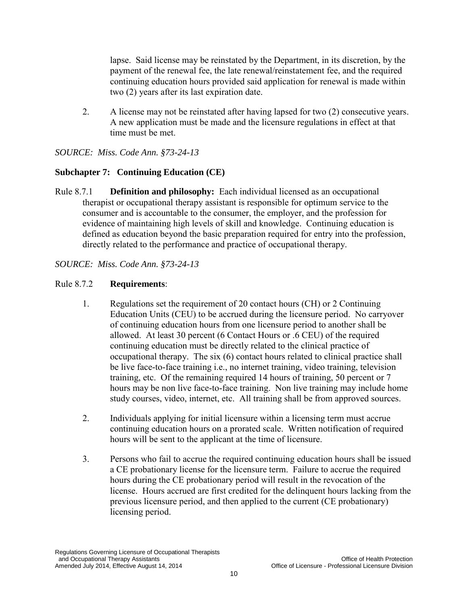lapse. Said license may be reinstated by the Department, in its discretion, by the payment of the renewal fee, the late renewal/reinstatement fee, and the required continuing education hours provided said application for renewal is made within two (2) years after its last expiration date.

<span id="page-24-0"></span>2. A license may not be reinstated after having lapsed for two (2) consecutive years. A new application must be made and the licensure regulations in effect at that time must be met.

*SOURCE: Miss. Code Ann. §73-24-13* 

# **Subchapter 7: Continuing Education (CE)**

Rule 8.7.1 **Definition and philosophy:** Each individual licensed as an occupational therapist or occupational therapy assistant is responsible for optimum service to the consumer and is accountable to the consumer, the employer, and the profession for evidence of maintaining high levels of skill and knowledge. Continuing education is defined as education beyond the basic preparation required for entry into the profession, directly related to the performance and practice of occupational therapy.

<span id="page-24-2"></span><span id="page-24-1"></span>*SOURCE: Miss. Code Ann. §73-24-13* 

# Rule 8.7.2 **Requirements**:

- 1. Regulations set the requirement of 20 contact hours (CH) or 2 Continuing Education Units (CEU) to be accrued during the licensure period. No carryover of continuing education hours from one licensure period to another shall be allowed. At least 30 percent (6 Contact Hours or .6 CEU) of the required continuing education must be directly related to the clinical practice of occupational therapy. The six (6) contact hours related to clinical practice shall be live face-to-face training i.e., no internet training, video training, television training, etc. Of the remaining required 14 hours of training, 50 percent or 7 hours may be non live face-to-face training. Non live training may include home study courses, video, internet, etc. All training shall be from approved sources.
- <span id="page-24-3"></span>2. Individuals applying for initial licensure within a licensing term must accrue continuing education hours on a prorated scale. Written notification of required hours will be sent to the applicant at the time of licensure.
- 3. Persons who fail to accrue the required continuing education hours shall be issued a CE probationary license for the licensure term. Failure to accrue the required hours during the CE probationary period will result in the revocation of the license. Hours accrued are first credited for the delinquent hours lacking from the previous licensure period, and then applied to the current (CE probationary) licensing period.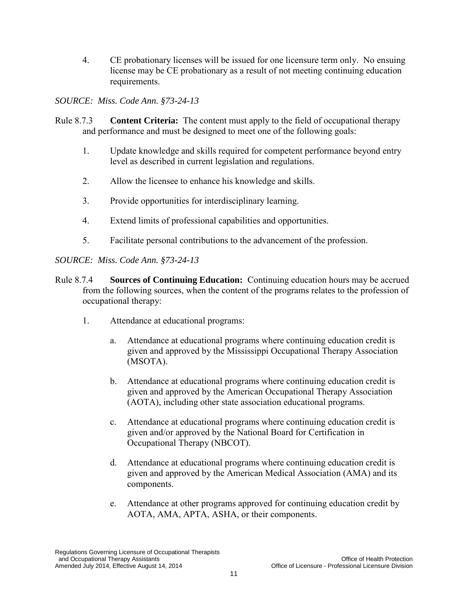4. CE probationary licenses will be issued for one licensure term only. No ensuing license may be CE probationary as a result of not meeting continuing education requirements.

*SOURCE: Miss. Code Ann. §73-24-13* 

- <span id="page-25-0"></span>Rule 8.7.3 **Content Criteria:** The content must apply to the field of occupational therapy and performance and must be designed to meet one of the following goals:
	- 1. Update knowledge and skills required for competent performance beyond entry level as described in current legislation and regulations.
	- 2. Allow the licensee to enhance his knowledge and skills.
	- 3. Provide opportunities for interdisciplinary learning.
	- 4. Extend limits of professional capabilities and opportunities.
	- 5. Facilitate personal contributions to the advancement of the profession.

- <span id="page-25-1"></span>Rule 8.7.4 **Sources of Continuing Education:** Continuing education hours may be accrued from the following sources, when the content of the programs relates to the profession of occupational therapy:
	- 1. Attendance at educational programs:
		- a. Attendance at educational programs where continuing education credit is given and approved by the Mississippi Occupational Therapy Association (MSOTA).
		- b. Attendance at educational programs where continuing education credit is given and approved by the American Occupational Therapy Association (AOTA), including other state association educational programs.
		- c. Attendance at educational programs where continuing education credit is given and/or approved by the National Board for Certification in Occupational Therapy (NBCOT).
		- d. Attendance at educational programs where continuing education credit is given and approved by the American Medical Association (AMA) and its components.
		- e. Attendance at other programs approved for continuing education credit by AOTA, AMA, APTA, ASHA, or their components.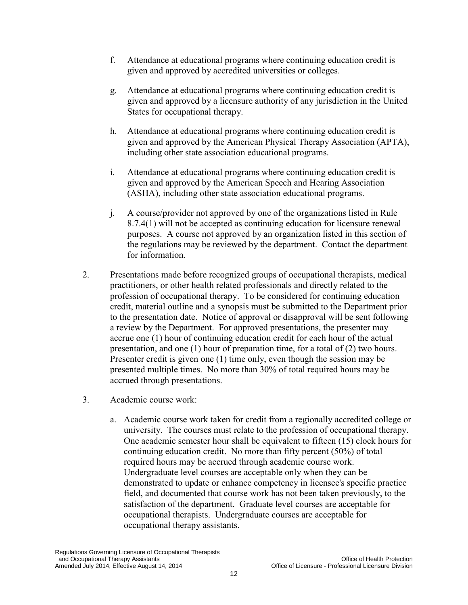- f. Attendance at educational programs where continuing education credit is given and approved by accredited universities or colleges.
- g. Attendance at educational programs where continuing education credit is given and approved by a licensure authority of any jurisdiction in the United States for occupational therapy.
- h. Attendance at educational programs where continuing education credit is given and approved by the American Physical Therapy Association (APTA), including other state association educational programs.
- i. Attendance at educational programs where continuing education credit is given and approved by the American Speech and Hearing Association (ASHA), including other state association educational programs.
- j. A course/provider not approved by one of the organizations listed in Rule 8.7.4(1) will not be accepted as continuing education for licensure renewal purposes. A course not approved by an organization listed in this section of the regulations may be reviewed by the department. Contact the department for information.
- 2. Presentations made before recognized groups of occupational therapists, medical practitioners, or other health related professionals and directly related to the profession of occupational therapy. To be considered for continuing education credit, material outline and a synopsis must be submitted to the Department prior to the presentation date. Notice of approval or disapproval will be sent following a review by the Department. For approved presentations, the presenter may accrue one (1) hour of continuing education credit for each hour of the actual presentation, and one (1) hour of preparation time, for a total of (2) two hours. Presenter credit is given one (1) time only, even though the session may be presented multiple times. No more than 30% of total required hours may be accrued through presentations.
- 3. Academic course work:
	- a. Academic course work taken for credit from a regionally accredited college or university. The courses must relate to the profession of occupational therapy. One academic semester hour shall be equivalent to fifteen (15) clock hours for continuing education credit. No more than fifty percent (50%) of total required hours may be accrued through academic course work. Undergraduate level courses are acceptable only when they can be demonstrated to update or enhance competency in licensee's specific practice field, and documented that course work has not been taken previously, to the satisfaction of the department. Graduate level courses are acceptable for occupational therapists. Undergraduate courses are acceptable for occupational therapy assistants.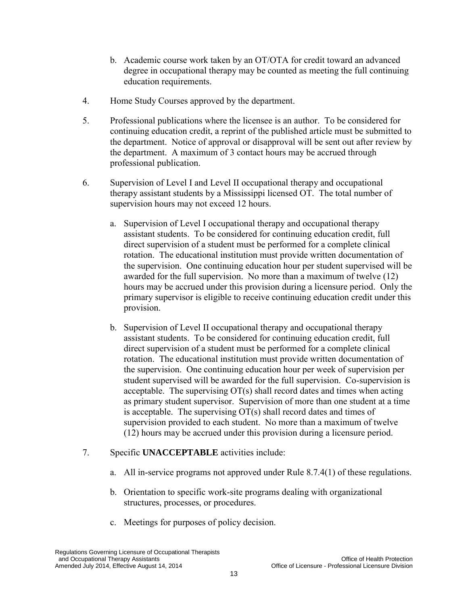- b. Academic course work taken by an OT/OTA for credit toward an advanced degree in occupational therapy may be counted as meeting the full continuing education requirements.
- 4. Home Study Courses approved by the department.
- 5. Professional publications where the licensee is an author. To be considered for continuing education credit, a reprint of the published article must be submitted to the department. Notice of approval or disapproval will be sent out after review by the department. A maximum of 3 contact hours may be accrued through professional publication.
- 6. Supervision of Level I and Level II occupational therapy and occupational therapy assistant students by a Mississippi licensed OT. The total number of supervision hours may not exceed 12 hours.
	- a. Supervision of Level I occupational therapy and occupational therapy assistant students. To be considered for continuing education credit, full direct supervision of a student must be performed for a complete clinical rotation. The educational institution must provide written documentation of the supervision. One continuing education hour per student supervised will be awarded for the full supervision. No more than a maximum of twelve (12) hours may be accrued under this provision during a licensure period. Only the primary supervisor is eligible to receive continuing education credit under this provision.
	- b. Supervision of Level II occupational therapy and occupational therapy assistant students. To be considered for continuing education credit, full direct supervision of a student must be performed for a complete clinical rotation. The educational institution must provide written documentation of the supervision. One continuing education hour per week of supervision per student supervised will be awarded for the full supervision. Co-supervision is acceptable. The supervising  $OT(s)$  shall record dates and times when acting as primary student supervisor. Supervision of more than one student at a time is acceptable. The supervising OT(s) shall record dates and times of supervision provided to each student. No more than a maximum of twelve (12) hours may be accrued under this provision during a licensure period.
- <span id="page-27-0"></span>7. Specific **UNACCEPTABLE** activities include:
	- a. All in-service programs not approved under Rule 8.7.4(1) of these regulations.
	- b. Orientation to specific work-site programs dealing with organizational structures, processes, or procedures.
	- c. Meetings for purposes of policy decision.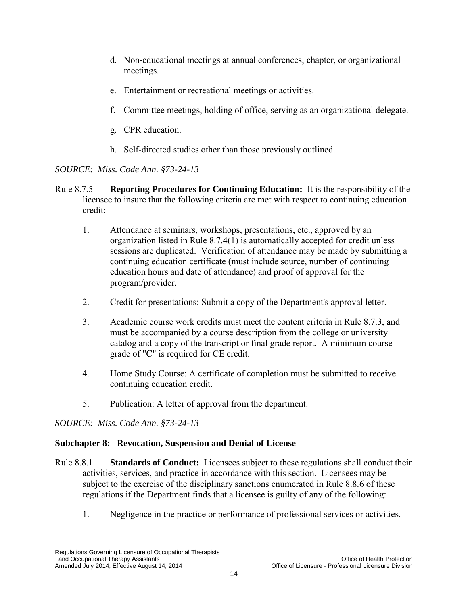- d. Non-educational meetings at annual conferences, chapter, or organizational meetings.
- e. Entertainment or recreational meetings or activities.
- f. Committee meetings, holding of office, serving as an organizational delegate.
- g. CPR education.
- h. Self-directed studies other than those previously outlined.

- <span id="page-28-1"></span><span id="page-28-0"></span>Rule 8.7.5 **Reporting Procedures for Continuing Education:** It is the responsibility of the licensee to insure that the following criteria are met with respect to continuing education credit:
	- 1. Attendance at seminars, workshops, presentations, etc., approved by an organization listed in Rule 8.7.4(1) is automatically accepted for credit unless sessions are duplicated. Verification of attendance may be made by submitting a continuing education certificate (must include source, number of continuing education hours and date of attendance) and proof of approval for the program/provider.
	- 2. Credit for presentations: Submit a copy of the Department's approval letter.
	- 3. Academic course work credits must meet the content criteria in Rule 8.7.3, and must be accompanied by a course description from the college or university catalog and a copy of the transcript or final grade report. A minimum course grade of "C" is required for CE credit.
	- 4. Home Study Course: A certificate of completion must be submitted to receive continuing education credit.
	- 5. Publication: A letter of approval from the department.

# *SOURCE: Miss. Code Ann. §73-24-13*

# **Subchapter 8: Revocation, Suspension and Denial of License**

- Rule 8.8.1 **Standards of Conduct:** Licensees subject to these regulations shall conduct their activities, services, and practice in accordance with this section. Licensees may be subject to the exercise of the disciplinary sanctions enumerated in Rule 8.8.6 of these regulations if the Department finds that a licensee is guilty of any of the following:
	- 1. Negligence in the practice or performance of professional services or activities.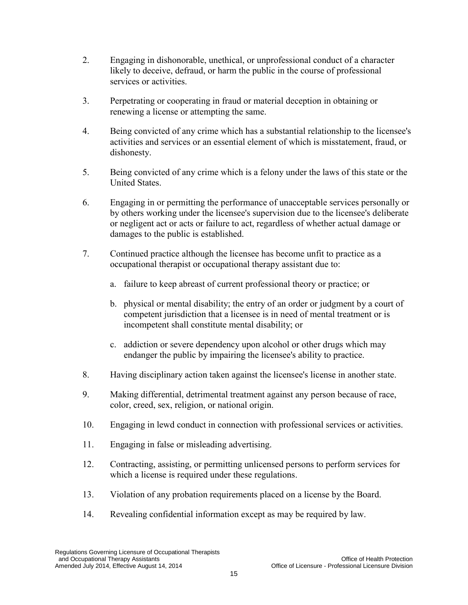- 2. Engaging in dishonorable, unethical, or unprofessional conduct of a character likely to deceive, defraud, or harm the public in the course of professional services or activities.
- 3. Perpetrating or cooperating in fraud or material deception in obtaining or renewing a license or attempting the same.
- 4. Being convicted of any crime which has a substantial relationship to the licensee's activities and services or an essential element of which is misstatement, fraud, or dishonesty.
- 5. Being convicted of any crime which is a felony under the laws of this state or the United States.
- 6. Engaging in or permitting the performance of unacceptable services personally or by others working under the licensee's supervision due to the licensee's deliberate or negligent act or acts or failure to act, regardless of whether actual damage or damages to the public is established.
- 7. Continued practice although the licensee has become unfit to practice as a occupational therapist or occupational therapy assistant due to:
	- a. failure to keep abreast of current professional theory or practice; or
	- b. physical or mental disability; the entry of an order or judgment by a court of competent jurisdiction that a licensee is in need of mental treatment or is incompetent shall constitute mental disability; or
	- c. addiction or severe dependency upon alcohol or other drugs which may endanger the public by impairing the licensee's ability to practice.
- 8. Having disciplinary action taken against the licensee's license in another state.
- 9. Making differential, detrimental treatment against any person because of race, color, creed, sex, religion, or national origin.
- 10. Engaging in lewd conduct in connection with professional services or activities.
- 11. Engaging in false or misleading advertising.
- 12. Contracting, assisting, or permitting unlicensed persons to perform services for which a license is required under these regulations.
- 13. Violation of any probation requirements placed on a license by the Board.
- 14. Revealing confidential information except as may be required by law.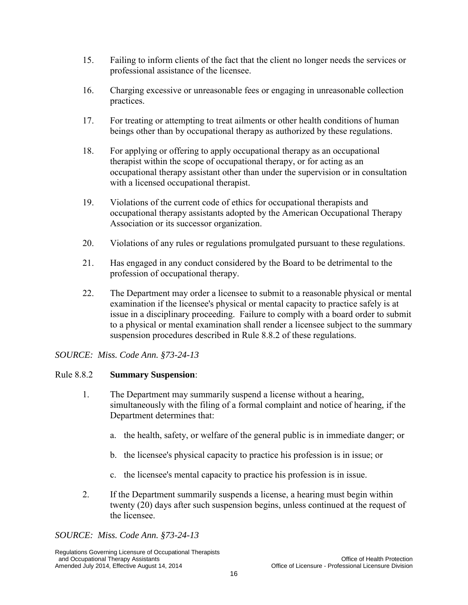- 15. Failing to inform clients of the fact that the client no longer needs the services or professional assistance of the licensee.
- 16. Charging excessive or unreasonable fees or engaging in unreasonable collection practices.
- 17. For treating or attempting to treat ailments or other health conditions of human beings other than by occupational therapy as authorized by these regulations.
- <span id="page-30-0"></span>18. For applying or offering to apply occupational therapy as an occupational therapist within the scope of occupational therapy, or for acting as an occupational therapy assistant other than under the supervision or in consultation with a licensed occupational therapist.
- 19. Violations of the current code of ethics for occupational therapists and occupational therapy assistants adopted by the American Occupational Therapy Association or its successor organization.
- 20. Violations of any rules or regulations promulgated pursuant to these regulations.
- 21. Has engaged in any conduct considered by the Board to be detrimental to the profession of occupational therapy.
- 22. The Department may order a licensee to submit to a reasonable physical or mental examination if the licensee's physical or mental capacity to practice safely is at issue in a disciplinary proceeding. Failure to comply with a board order to submit to a physical or mental examination shall render a licensee subject to the summary suspension procedures described in Rule 8.8.2 of these regulations.

# <span id="page-30-1"></span>Rule 8.8.2 **Summary Suspension**:

- 1. The Department may summarily suspend a license without a hearing, simultaneously with the filing of a formal complaint and notice of hearing, if the Department determines that:
	- a. the health, safety, or welfare of the general public is in immediate danger; or
	- b. the licensee's physical capacity to practice his profession is in issue; or
	- c. the licensee's mental capacity to practice his profession is in issue.
- <span id="page-30-2"></span>2. If the Department summarily suspends a license, a hearing must begin within twenty (20) days after such suspension begins, unless continued at the request of the licensee.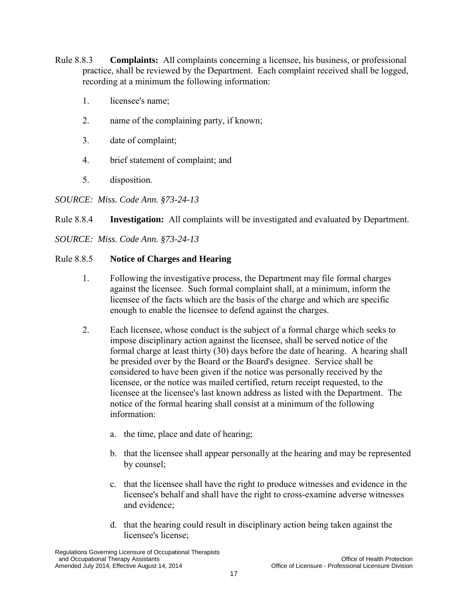- <span id="page-31-0"></span>Rule 8.8.3 **Complaints:** All complaints concerning a licensee, his business, or professional practice, shall be reviewed by the Department. Each complaint received shall be logged, recording at a minimum the following information:
	- 1. licensee's name;
	- 2. name of the complaining party, if known;
	- 3. date of complaint;
	- 4. brief statement of complaint; and
	- 5. disposition.
- *SOURCE: Miss. Code Ann. §73-24-13*
- Rule 8.8.4 **Investigation:** All complaints will be investigated and evaluated by Department.
- *SOURCE: Miss. Code Ann. §73-24-13*

# Rule 8.8.5 **Notice of Charges and Hearing**

- 1. Following the investigative process, the Department may file formal charges against the licensee. Such formal complaint shall, at a minimum, inform the licensee of the facts which are the basis of the charge and which are specific enough to enable the licensee to defend against the charges.
- 2. Each licensee, whose conduct is the subject of a formal charge which seeks to impose disciplinary action against the licensee, shall be served notice of the formal charge at least thirty (30) days before the date of hearing. A hearing shall be presided over by the Board or the Board's designee. Service shall be considered to have been given if the notice was personally received by the licensee, or the notice was mailed certified, return receipt requested, to the licensee at the licensee's last known address as listed with the Department. The notice of the formal hearing shall consist at a minimum of the following information:
	- a. the time, place and date of hearing;
	- b. that the licensee shall appear personally at the hearing and may be represented by counsel;
	- c. that the licensee shall have the right to produce witnesses and evidence in the licensee's behalf and shall have the right to cross-examine adverse witnesses and evidence;
	- d. that the hearing could result in disciplinary action being taken against the licensee's license;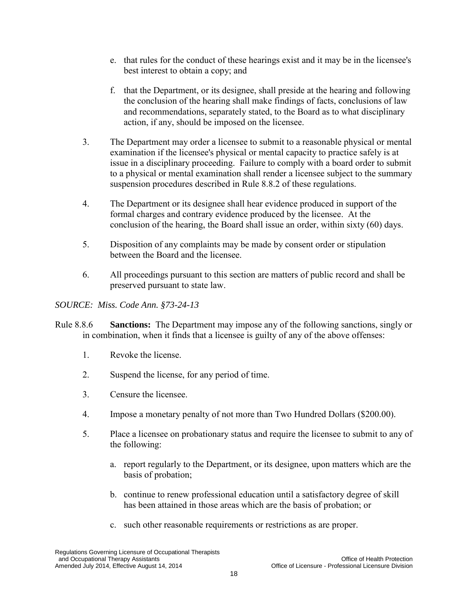- e. that rules for the conduct of these hearings exist and it may be in the licensee's best interest to obtain a copy; and
- f. that the Department, or its designee, shall preside at the hearing and following the conclusion of the hearing shall make findings of facts, conclusions of law and recommendations, separately stated, to the Board as to what disciplinary action, if any, should be imposed on the licensee.
- 3. The Department may order a licensee to submit to a reasonable physical or mental examination if the licensee's physical or mental capacity to practice safely is at issue in a disciplinary proceeding. Failure to comply with a board order to submit to a physical or mental examination shall render a licensee subject to the summary suspension procedures described in Rule 8.8.2 of these regulations.
- <span id="page-32-0"></span>4. The Department or its designee shall hear evidence produced in support of the formal charges and contrary evidence produced by the licensee. At the conclusion of the hearing, the Board shall issue an order, within sixty (60) days.
- 5. Disposition of any complaints may be made by consent order or stipulation between the Board and the licensee.
- 6. All proceedings pursuant to this section are matters of public record and shall be preserved pursuant to state law.

- Rule 8.8.6 **Sanctions:** The Department may impose any of the following sanctions, singly or in combination, when it finds that a licensee is guilty of any of the above offenses:
	- 1. Revoke the license.
	- 2. Suspend the license, for any period of time.
	- 3. Censure the licensee.
	- 4. Impose a monetary penalty of not more than Two Hundred Dollars (\$200.00).
	- 5. Place a licensee on probationary status and require the licensee to submit to any of the following:
		- a. report regularly to the Department, or its designee, upon matters which are the basis of probation;
		- b. continue to renew professional education until a satisfactory degree of skill has been attained in those areas which are the basis of probation; or
		- c. such other reasonable requirements or restrictions as are proper.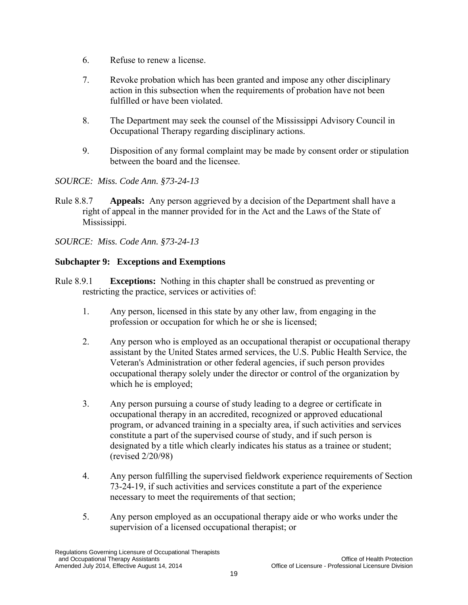- 6. Refuse to renew a license.
- <span id="page-33-0"></span>7. Revoke probation which has been granted and impose any other disciplinary action in this subsection when the requirements of probation have not been fulfilled or have been violated.
- 8. The Department may seek the counsel of the Mississippi Advisory Council in Occupational Therapy regarding disciplinary actions.
- <span id="page-33-2"></span><span id="page-33-1"></span>9. Disposition of any formal complaint may be made by consent order or stipulation between the board and the licensee.

Rule 8.8.7 **Appeals:** Any person aggrieved by a decision of the Department shall have a right of appeal in the manner provided for in the Act and the Laws of the State of Mississippi.

*SOURCE: Miss. Code Ann. §73-24-13* 

#### **Subchapter 9: Exceptions and Exemptions**

- Rule 8.9.1 **Exceptions:** Nothing in this chapter shall be construed as preventing or restricting the practice, services or activities of:
	- 1. Any person, licensed in this state by any other law, from engaging in the profession or occupation for which he or she is licensed;
	- 2. Any person who is employed as an occupational therapist or occupational therapy assistant by the United States armed services, the U.S. Public Health Service, the Veteran's Administration or other federal agencies, if such person provides occupational therapy solely under the director or control of the organization by which he is employed;
	- 3. Any person pursuing a course of study leading to a degree or certificate in occupational therapy in an accredited, recognized or approved educational program, or advanced training in a specialty area, if such activities and services constitute a part of the supervised course of study, and if such person is designated by a title which clearly indicates his status as a trainee or student; (revised 2/20/98)
	- 4. Any person fulfilling the supervised fieldwork experience requirements of Section 73-24-19, if such activities and services constitute a part of the experience necessary to meet the requirements of that section;
	- 5. Any person employed as an occupational therapy aide or who works under the supervision of a licensed occupational therapist; or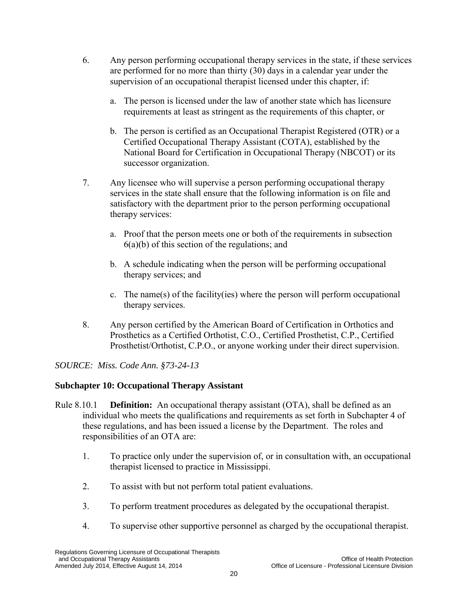- 6. Any person performing occupational therapy services in the state, if these services are performed for no more than thirty (30) days in a calendar year under the supervision of an occupational therapist licensed under this chapter, if:
	- a. The person is licensed under the law of another state which has licensure requirements at least as stringent as the requirements of this chapter, or
	- b. The person is certified as an Occupational Therapist Registered (OTR) or a Certified Occupational Therapy Assistant (COTA), established by the National Board for Certification in Occupational Therapy (NBCOT) or its successor organization.
- 7. Any licensee who will supervise a person performing occupational therapy services in the state shall ensure that the following information is on file and satisfactory with the department prior to the person performing occupational therapy services:
	- a. Proof that the person meets one or both of the requirements in subsection  $6(a)(b)$  of this section of the regulations; and
	- b. A schedule indicating when the person will be performing occupational therapy services; and
	- c. The name(s) of the facility(ies) where the person will perform occupational therapy services.
- <span id="page-34-2"></span><span id="page-34-1"></span><span id="page-34-0"></span>8. Any person certified by the American Board of Certification in Orthotics and Prosthetics as a Certified Orthotist, C.O., Certified Prosthetist, C.P., Certified Prosthetist/Orthotist, C.P.O., or anyone working under their direct supervision.

# **Subchapter 10: Occupational Therapy Assistant**

- Rule 8.10.1 **Definition:** An occupational therapy assistant (OTA), shall be defined as an individual who meets the qualifications and requirements as set forth in Subchapter 4 of these regulations, and has been issued a license by the Department. The roles and responsibilities of an OTA are:
	- 1. To practice only under the supervision of, or in consultation with, an occupational therapist licensed to practice in Mississippi.
	- 2. To assist with but not perform total patient evaluations.
	- 3. To perform treatment procedures as delegated by the occupational therapist.
	- 4. To supervise other supportive personnel as charged by the occupational therapist.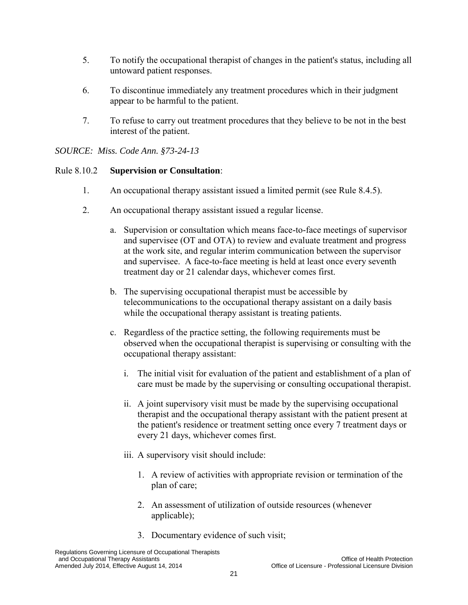- 5. To notify the occupational therapist of changes in the patient's status, including all untoward patient responses.
- <span id="page-35-0"></span>6. To discontinue immediately any treatment procedures which in their judgment appear to be harmful to the patient.
- 7. To refuse to carry out treatment procedures that they believe to be not in the best interest of the patient.

#### Rule 8.10.2 **Supervision or Consultation**:

- 1. An occupational therapy assistant issued a limited permit (see Rule 8.4.5).
- 2. An occupational therapy assistant issued a regular license.
	- a. Supervision or consultation which means face-to-face meetings of supervisor and supervisee (OT and OTA) to review and evaluate treatment and progress at the work site, and regular interim communication between the supervisor and supervisee. A face-to-face meeting is held at least once every seventh treatment day or 21 calendar days, whichever comes first.
	- b. The supervising occupational therapist must be accessible by telecommunications to the occupational therapy assistant on a daily basis while the occupational therapy assistant is treating patients.
	- c. Regardless of the practice setting, the following requirements must be observed when the occupational therapist is supervising or consulting with the occupational therapy assistant:
		- i. The initial visit for evaluation of the patient and establishment of a plan of care must be made by the supervising or consulting occupational therapist.
		- ii. A joint supervisory visit must be made by the supervising occupational therapist and the occupational therapy assistant with the patient present at the patient's residence or treatment setting once every 7 treatment days or every 21 days, whichever comes first.
		- iii. A supervisory visit should include:
			- 1. A review of activities with appropriate revision or termination of the plan of care;
			- 2. An assessment of utilization of outside resources (whenever applicable);
			- 3. Documentary evidence of such visit;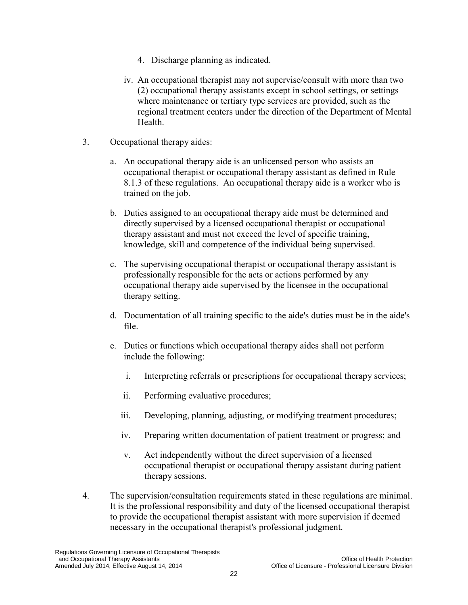- 4. Discharge planning as indicated.
- iv. An occupational therapist may not supervise/consult with more than two (2) occupational therapy assistants except in school settings, or settings where maintenance or tertiary type services are provided, such as the regional treatment centers under the direction of the Department of Mental **Health**
- 3. Occupational therapy aides:
	- a. An occupational therapy aide is an unlicensed person who assists an occupational therapist or occupational therapy assistant as defined in Rule 8.1.3 of these regulations. An occupational therapy aide is a worker who is trained on the job.
	- b. Duties assigned to an occupational therapy aide must be determined and directly supervised by a licensed occupational therapist or occupational therapy assistant and must not exceed the level of specific training, knowledge, skill and competence of the individual being supervised.
	- c. The supervising occupational therapist or occupational therapy assistant is professionally responsible for the acts or actions performed by any occupational therapy aide supervised by the licensee in the occupational therapy setting.
	- d. Documentation of all training specific to the aide's duties must be in the aide's file.
	- e. Duties or functions which occupational therapy aides shall not perform include the following:
		- i. Interpreting referrals or prescriptions for occupational therapy services;
		- ii. Performing evaluative procedures;
		- iii. Developing, planning, adjusting, or modifying treatment procedures;
		- iv. Preparing written documentation of patient treatment or progress; and
		- v. Act independently without the direct supervision of a licensed occupational therapist or occupational therapy assistant during patient therapy sessions.
- <span id="page-36-1"></span><span id="page-36-0"></span>4. The supervision/consultation requirements stated in these regulations are minimal. It is the professional responsibility and duty of the licensed occupational therapist to provide the occupational therapist assistant with more supervision if deemed necessary in the occupational therapist's professional judgment.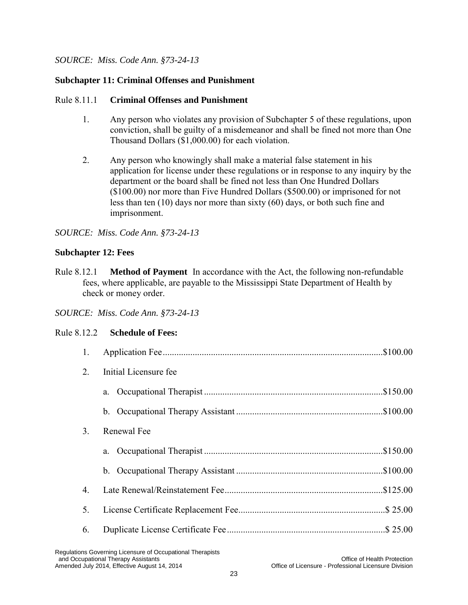#### **Subchapter 11: Criminal Offenses and Punishment**

#### Rule 8.11.1 **Criminal Offenses and Punishment**

- 1. Any person who violates any provision of Subchapter 5 of these regulations, upon conviction, shall be guilty of a misdemeanor and shall be fined not more than One Thousand Dollars (\$1,000.00) for each violation.
- 2. Any person who knowingly shall make a material false statement in his application for license under these regulations or in response to any inquiry by the department or the board shall be fined not less than One Hundred Dollars (\$100.00) nor more than Five Hundred Dollars (\$500.00) or imprisoned for not less than ten (10) days nor more than sixty (60) days, or both such fine and imprisonment.

#### <span id="page-37-0"></span>*SOURCE: Miss. Code Ann. §73-24-13*

#### <span id="page-37-1"></span>**Subchapter 12: Fees**

Rule 8.12.1 **Method of Payment** In accordance with the Act, the following non-refundable fees, where applicable, are payable to the Mississippi State Department of Health by check or money order.

<span id="page-37-2"></span>*SOURCE: Miss. Code Ann. §73-24-13* 

#### Rule 8.12.2 **Schedule of Fees:**

| 1. | \$100.00              |
|----|-----------------------|
| 2. | Initial Licensure fee |
|    | a.                    |
|    |                       |
| 3. | Renewal Fee           |
|    | a.                    |
|    |                       |
| 4. |                       |
| 5. | $.$ \$ 25.00          |
| 6. | $.$ \$ 25.00          |
|    |                       |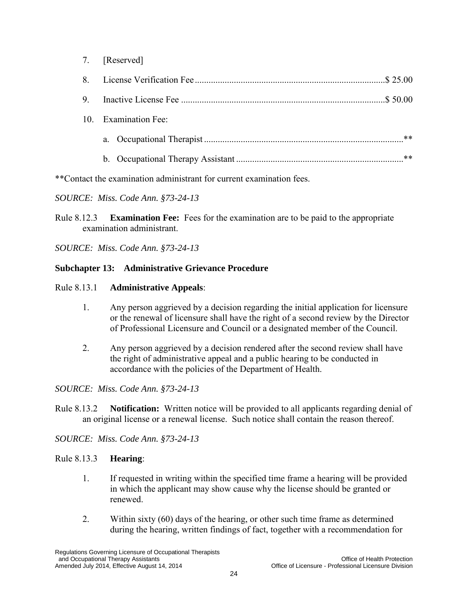|   | 7. [Reserved]        |      |
|---|----------------------|------|
| 8 | \$25.00              |      |
| 9 | $.$ \$ 50.00         |      |
|   | 10. Examination Fee: |      |
|   |                      | $**$ |
|   |                      | $**$ |
|   |                      |      |

\*\*Contact the examination administrant for current examination fees.

#### *SOURCE: Miss. Code Ann. §73-24-13*

<span id="page-38-0"></span>Rule 8.12.3 **Examination Fee:** Fees for the examination are to be paid to the appropriate examination administrant.

*SOURCE: Miss. Code Ann. §73-24-13* 

#### <span id="page-38-1"></span>**Subchapter 13: Administrative Grievance Procedure**

#### <span id="page-38-2"></span>Rule 8.13.1 **Administrative Appeals**:

- 1. Any person aggrieved by a decision regarding the initial application for licensure or the renewal of licensure shall have the right of a second review by the Director of Professional Licensure and Council or a designated member of the Council.
- 2. Any person aggrieved by a decision rendered after the second review shall have the right of administrative appeal and a public hearing to be conducted in accordance with the policies of the Department of Health.

*SOURCE: Miss. Code Ann. §73-24-13* 

<span id="page-38-3"></span>Rule 8.13.2 **Notification:** Written notice will be provided to all applicants regarding denial of an original license or a renewal license. Such notice shall contain the reason thereof.

*SOURCE: Miss. Code Ann. §73-24-13* 

# Rule 8.13.3 **Hearing**:

- 1. If requested in writing within the specified time frame a hearing will be provided in which the applicant may show cause why the license should be granted or renewed.
- 2. Within sixty (60) days of the hearing, or other such time frame as determined during the hearing, written findings of fact, together with a recommendation for

Regulations Governing Licensure of Occupational Therapists and Occupational Therapy Assistants<br>Amended July 2014, Effective August 14, 2014 Changes of Licensure - Professional Licensure Division